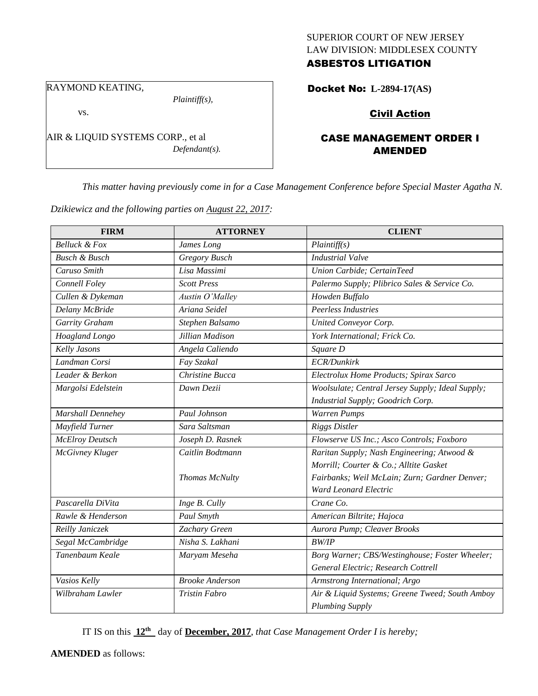### SUPERIOR COURT OF NEW JERSEY LAW DIVISION: MIDDLESEX COUNTY ASBESTOS LITIGATION

RAYMOND KEATING,

*Plaintiff(s),*

vs.

AIR & LIQUID SYSTEMS CORP., et al *Defendant(s).*

# Docket No: **L-2894-17(AS)**

## Civil Action

## CASE MANAGEMENT ORDER I AMENDED

*This matter having previously come in for a Case Management Conference before Special Master Agatha N.* 

*Dzikiewicz and the following parties on August 22, 2017:*

| <b>FIRM</b>              | <b>ATTORNEY</b>        | <b>CLIENT</b>                                    |
|--------------------------|------------------------|--------------------------------------------------|
| <b>Belluck &amp; Fox</b> | James Long             | Plaintiff(s)                                     |
| <b>Busch &amp; Busch</b> | Gregory Busch          | <b>Industrial Valve</b>                          |
| Caruso Smith             | Lisa Massimi           | Union Carbide; CertainTeed                       |
| Connell Foley            | <b>Scott Press</b>     | Palermo Supply; Plibrico Sales & Service Co.     |
| Cullen & Dykeman         | Austin O'Malley        | Howden Buffalo                                   |
| Delany McBride           | Ariana Seidel          | Peerless Industries                              |
| Garrity Graham           | Stephen Balsamo        | United Conveyor Corp.                            |
| Hoagland Longo           | Jillian Madison        | York International; Frick Co.                    |
| Kelly Jasons             | Angela Caliendo        | Square D                                         |
| Landman Corsi            | Fay Szakal             | ECR/Dunkirk                                      |
| Leader & Berkon          | Christine Bucca        | Electrolux Home Products; Spirax Sarco           |
| Margolsi Edelstein       | Dawn Dezii             | Woolsulate; Central Jersey Supply; Ideal Supply; |
|                          |                        | Industrial Supply; Goodrich Corp.                |
| <b>Marshall Dennehey</b> | Paul Johnson           | Warren Pumps                                     |
| Mayfield Turner          | Sara Saltsman          | <b>Riggs Distler</b>                             |
| <b>McElroy Deutsch</b>   | Joseph D. Rasnek       | Flowserve US Inc.; Asco Controls; Foxboro        |
| McGivney Kluger          | Caitlin Bodtmann       | Raritan Supply; Nash Engineering; Atwood &       |
|                          |                        | Morrill; Courter & Co.; Alltite Gasket           |
|                          | Thomas McNulty         | Fairbanks; Weil McLain; Zurn; Gardner Denver;    |
|                          |                        | Ward Leonard Electric                            |
| Pascarella DiVita        | Inge B. Cully          | Crane Co.                                        |
| Rawle & Henderson        | Paul Smyth             | American Biltrite; Hajoca                        |
| Reilly Janiczek          | Zachary Green          | Aurora Pump; Cleaver Brooks                      |
| Segal McCambridge        | Nisha S. Lakhani       | <b>BW/IP</b>                                     |
| Tanenbaum Keale          | Maryam Meseha          | Borg Warner; CBS/Westinghouse; Foster Wheeler;   |
|                          |                        | General Electric; Research Cottrell              |
| Vasios Kelly             | <b>Brooke Anderson</b> | Armstrong International; Argo                    |
| Wilbraham Lawler         | <b>Tristin Fabro</b>   | Air & Liquid Systems; Greene Tweed; South Amboy  |
|                          |                        | <b>Plumbing Supply</b>                           |

IT IS on this **12th** day of **December, 2017**, *that Case Management Order I is hereby;*

**AMENDED** as follows: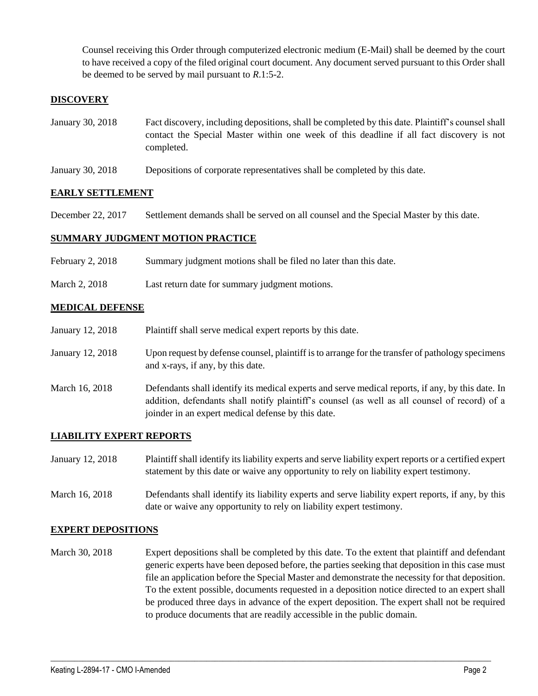Counsel receiving this Order through computerized electronic medium (E-Mail) shall be deemed by the court to have received a copy of the filed original court document. Any document served pursuant to this Order shall be deemed to be served by mail pursuant to *R*.1:5-2.

### **DISCOVERY**

- January 30, 2018 Fact discovery, including depositions, shall be completed by this date. Plaintiff's counsel shall contact the Special Master within one week of this deadline if all fact discovery is not completed.
- January 30, 2018 Depositions of corporate representatives shall be completed by this date.

#### **EARLY SETTLEMENT**

December 22, 2017 Settlement demands shall be served on all counsel and the Special Master by this date.

#### **SUMMARY JUDGMENT MOTION PRACTICE**

- February 2, 2018 Summary judgment motions shall be filed no later than this date.
- March 2, 2018 Last return date for summary judgment motions.

#### **MEDICAL DEFENSE**

January 12, 2018 Plaintiff shall serve medical expert reports by this date. January 12, 2018 Upon request by defense counsel, plaintiff is to arrange for the transfer of pathology specimens and x-rays, if any, by this date. March 16, 2018 Defendants shall identify its medical experts and serve medical reports, if any, by this date. In addition, defendants shall notify plaintiff's counsel (as well as all counsel of record) of a joinder in an expert medical defense by this date.

#### **LIABILITY EXPERT REPORTS**

- January 12, 2018 Plaintiff shall identify its liability experts and serve liability expert reports or a certified expert statement by this date or waive any opportunity to rely on liability expert testimony.
- March 16, 2018 Defendants shall identify its liability experts and serve liability expert reports, if any, by this date or waive any opportunity to rely on liability expert testimony.

#### **EXPERT DEPOSITIONS**

March 30, 2018 Expert depositions shall be completed by this date. To the extent that plaintiff and defendant generic experts have been deposed before, the parties seeking that deposition in this case must file an application before the Special Master and demonstrate the necessity for that deposition. To the extent possible, documents requested in a deposition notice directed to an expert shall be produced three days in advance of the expert deposition. The expert shall not be required to produce documents that are readily accessible in the public domain.

 $\_$  ,  $\_$  ,  $\_$  ,  $\_$  ,  $\_$  ,  $\_$  ,  $\_$  ,  $\_$  ,  $\_$  ,  $\_$  ,  $\_$  ,  $\_$  ,  $\_$  ,  $\_$  ,  $\_$  ,  $\_$  ,  $\_$  ,  $\_$  ,  $\_$  ,  $\_$  ,  $\_$  ,  $\_$  ,  $\_$  ,  $\_$  ,  $\_$  ,  $\_$  ,  $\_$  ,  $\_$  ,  $\_$  ,  $\_$  ,  $\_$  ,  $\_$  ,  $\_$  ,  $\_$  ,  $\_$  ,  $\_$  ,  $\_$  ,